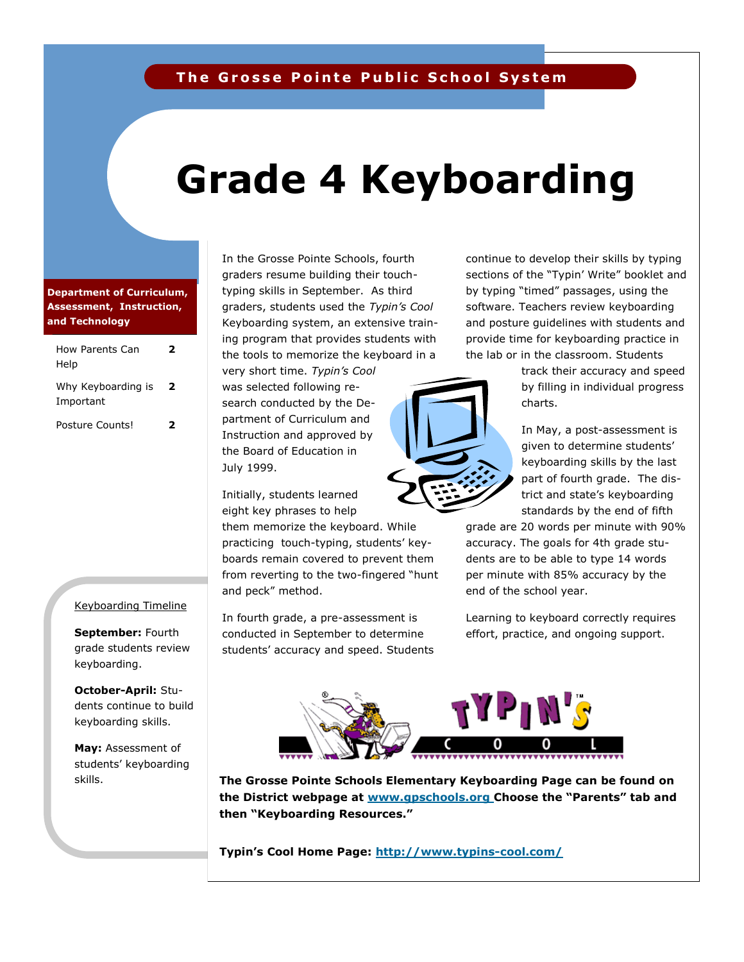## **The Grosse Pointe Public School System**

# **Grade 4 Keyboarding**

### **Department of Curriculum, Assessment, Instruction, and Technology**

| How Parents Can<br>Help         | 7 |
|---------------------------------|---|
| Why Keyboarding is<br>Important | 2 |
| Posture Counts!                 |   |

#### Keyboarding Timeline

**September:** Fourth grade students review keyboarding.

**October-April:** Students continue to build keyboarding skills.

**May:** Assessment of students' keyboarding skills.

In the Grosse Pointe Schools, fourth graders resume building their touchtyping skills in September. As third graders, students used the *Typin's Cool*  Keyboarding system, an extensive training program that provides students with the tools to memorize the keyboard in a

very short time. *Typin's Cool*  was selected following research conducted by the Department of Curriculum and Instruction and approved by the Board of Education in July 1999.

Initially, students learned eight key phrases to help

them memorize the keyboard. While practicing touch-typing, students' keyboards remain covered to prevent them from reverting to the two-fingered "hunt and peck" method.

In fourth grade, a pre-assessment is conducted in September to determine students' accuracy and speed. Students continue to develop their skills by typing sections of the "Typin' Write" booklet and by typing "timed" passages, using the software. Teachers review keyboarding and posture guidelines with students and provide time for keyboarding practice in the lab or in the classroom. Students

> track their accuracy and speed by filling in individual progress charts.

In May, a post-assessment is given to determine students' keyboarding skills by the last part of fourth grade. The district and state's keyboarding standards by the end of fifth

grade are 20 words per minute with 90% accuracy. The goals for 4th grade students are to be able to type 14 words per minute with 85% accuracy by the end of the school year.

Learning to keyboard correctly requires effort, practice, and ongoing support.



**Grosse Pointe Schools' Elementary Keyboarding Page <http://www.gpschools.org/ci/ce/elem/elcom/keyboarding.htm> the District webpage at [www.gpschools.org](http://www.gpschools.org) Choose the "Parents" tab and The Grosse Pointe Schools Elementary Keyboarding Page can be found on then "Keyboarding Resources."**

h**[ttp://www.typins-cool.com/](http://www.typins-cool.com/) Typin's Cool Home Page: <http://www.typins-cool.com/>**